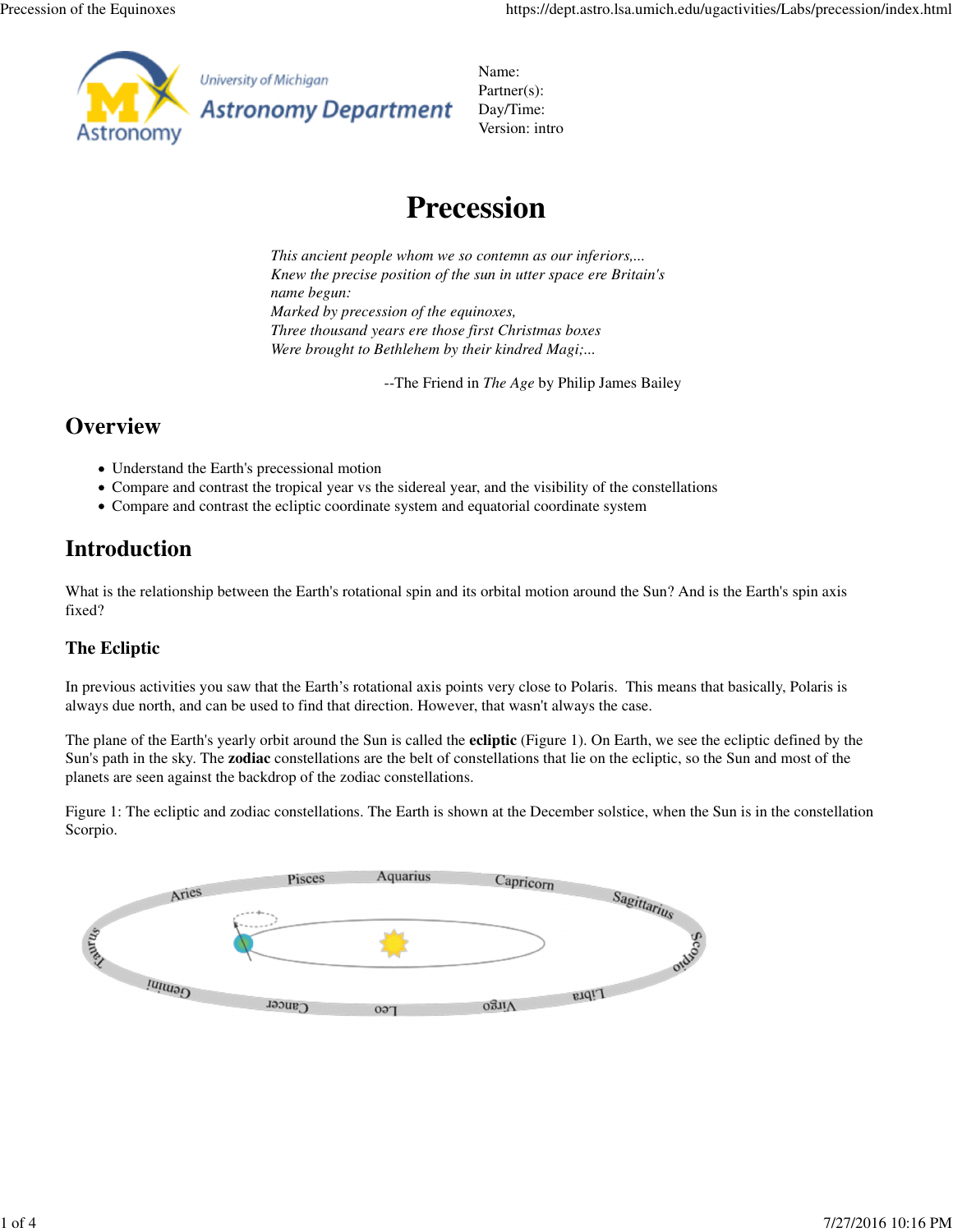

University of Michigan

**Astronomy Department** 

Name: Partner(s): Day/Time: Version: intro

# **Precession**

*This ancient people whom we so contemn as our inferiors,... Knew the precise position of the sun in utter space ere Britain's name begun: Marked by precession of the equinoxes, Three thousand years ere those first Christmas boxes Were brought to Bethlehem by their kindred Magi;...*

--The Friend in *The Age* by Philip James Bailey

### **Overview**

- Understand the Earth's precessional motion
- Compare and contrast the tropical year vs the sidereal year, and the visibility of the constellations
- Compare and contrast the ecliptic coordinate system and equatorial coordinate system

## **Introduction**

What is the relationship between the Earth's rotational spin and its orbital motion around the Sun? And is the Earth's spin axis fixed?

### **The Ecliptic**

In previous activities you saw that the Earth's rotational axis points very close to Polaris. This means that basically, Polaris is always due north, and can be used to find that direction. However, that wasn't always the case.

The plane of the Earth's yearly orbit around the Sun is called the **ecliptic** (Figure 1). On Earth, we see the ecliptic defined by the Sun's path in the sky. The **zodiac** constellations are the belt of constellations that lie on the ecliptic, so the Sun and most of the planets are seen against the backdrop of the zodiac constellations.

Figure 1: The ecliptic and zodiac constellations. The Earth is shown at the December solstice, when the Sun is in the constellation Scorpio.

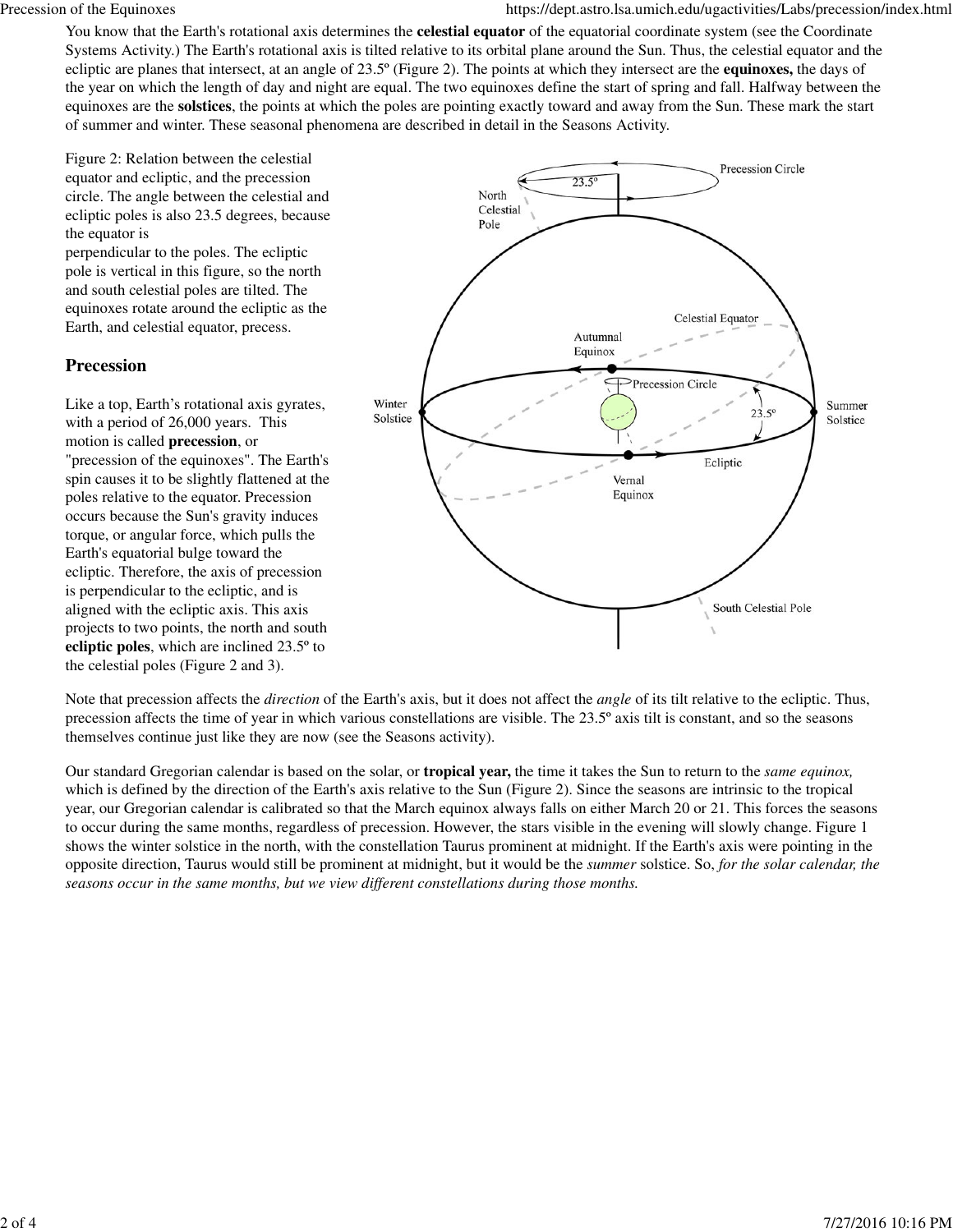You know that the Earth's rotational axis determines the **celestial equator** of the equatorial coordinate system (see the Coordinate Systems Activity.) The Earth's rotational axis is tilted relative to its orbital plane around the Sun. Thus, the celestial equator and the ecliptic are planes that intersect, at an angle of 23.5º (Figure 2). The points at which they intersect are the **equinoxes,** the days of the year on which the length of day and night are equal. The two equinoxes define the start of spring and fall. Halfway between the equinoxes are the **solstices**, the points at which the poles are pointing exactly toward and away from the Sun. These mark the start of summer and winter. These seasonal phenomena are described in detail in the Seasons Activity.

Figure 2: Relation between the celestial equator and ecliptic, and the precession circle. The angle between the celestial and ecliptic poles is also 23.5 degrees, because the equator is

perpendicular to the poles. The ecliptic pole is vertical in this figure, so the north and south celestial poles are tilted. The equinoxes rotate around the ecliptic as the Earth, and celestial equator, precess.

#### **Precession**

Like a top, Earth's rotational axis gyrates, with a period of 26,000 years. This motion is called **precession**, or "precession of the equinoxes". The Earth's spin causes it to be slightly flattened at the poles relative to the equator. Precession occurs because the Sun's gravity induces torque, or angular force, which pulls the Earth's equatorial bulge toward the ecliptic. Therefore, the axis of precession is perpendicular to the ecliptic, and is aligned with the ecliptic axis. This axis projects to two points, the north and south **ecliptic poles**, which are inclined 23.5º to the celestial poles (Figure 2 and 3).



Note that precession affects the *direction* of the Earth's axis, but it does not affect the *angle* of its tilt relative to the ecliptic. Thus, precession affects the time of year in which various constellations are visible. The 23.5º axis tilt is constant, and so the seasons themselves continue just like they are now (see the Seasons activity).

Our standard Gregorian calendar is based on the solar, or **tropical year,** the time it takes the Sun to return to the *same equinox,* which is defined by the direction of the Earth's axis relative to the Sun (Figure 2). Since the seasons are intrinsic to the tropical year, our Gregorian calendar is calibrated so that the March equinox always falls on either March 20 or 21. This forces the seasons to occur during the same months, regardless of precession. However, the stars visible in the evening will slowly change. Figure 1 shows the winter solstice in the north, with the constellation Taurus prominent at midnight. If the Earth's axis were pointing in the opposite direction, Taurus would still be prominent at midnight, but it would be the *summer* solstice. So, *for the solar calendar, the seasons occur in the same months, but we view different constellations during those months.*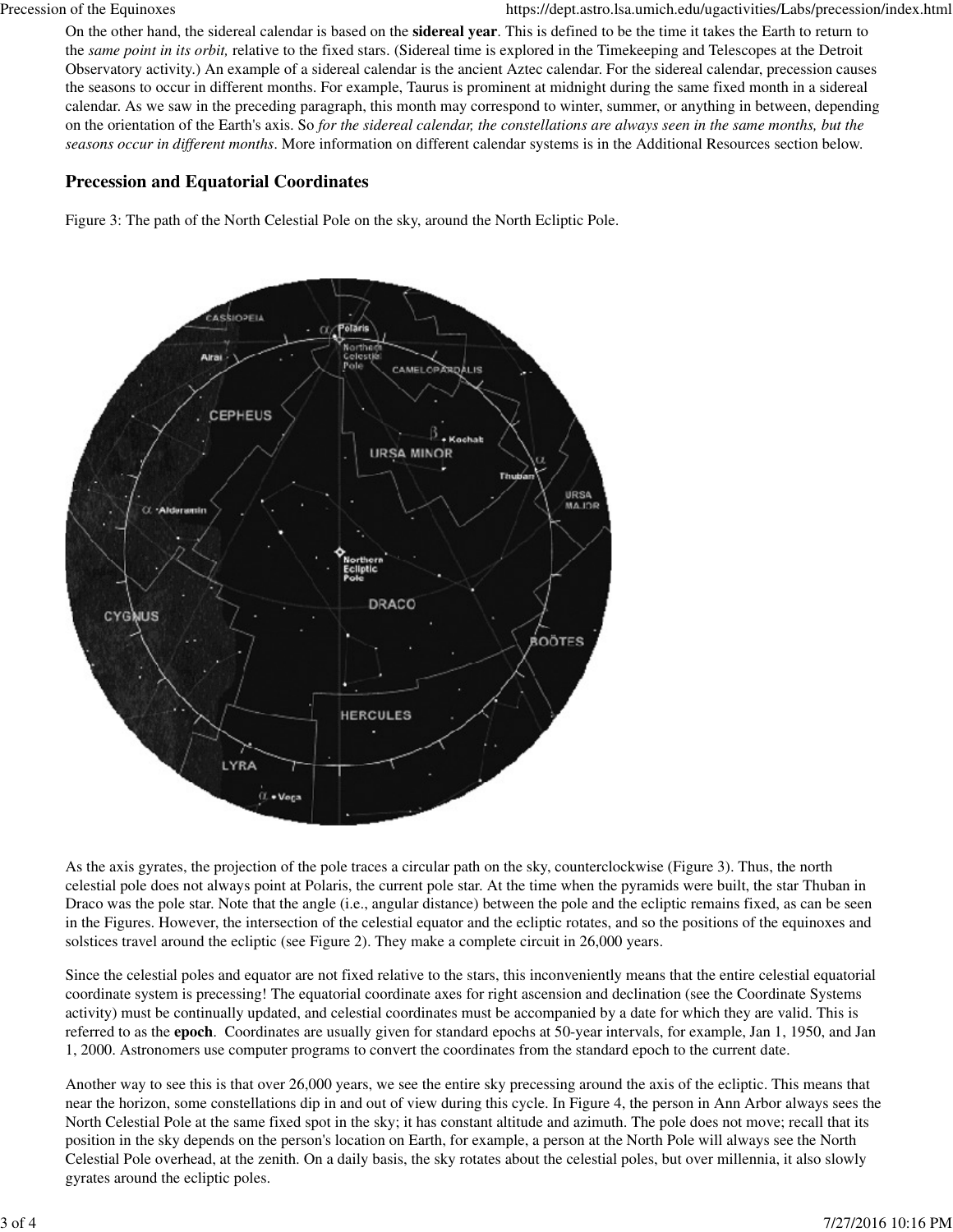On the other hand, the sidereal calendar is based on the **sidereal year**. This is defined to be the time it takes the Earth to return to the *same point in its orbit,* relative to the fixed stars. (Sidereal time is explored in the Timekeeping and Telescopes at the Detroit Observatory activity.) An example of a sidereal calendar is the ancient Aztec calendar. For the sidereal calendar, precession causes the seasons to occur in different months. For example, Taurus is prominent at midnight during the same fixed month in a sidereal calendar. As we saw in the preceding paragraph, this month may correspond to winter, summer, or anything in between, depending on the orientation of the Earth's axis. So *for the sidereal calendar, the constellations are always seen in the same months, but the seasons occur in different months*. More information on different calendar systems is in the Additional Resources section below.

#### **Precession and Equatorial Coordinates**

Figure 3: The path of the North Celestial Pole on the sky, around the North Ecliptic Pole.



As the axis gyrates, the projection of the pole traces a circular path on the sky, counterclockwise (Figure 3). Thus, the north celestial pole does not always point at Polaris, the current pole star. At the time when the pyramids were built, the star Thuban in Draco was the pole star. Note that the angle (i.e., angular distance) between the pole and the ecliptic remains fixed, as can be seen in the Figures. However, the intersection of the celestial equator and the ecliptic rotates, and so the positions of the equinoxes and solstices travel around the ecliptic (see Figure 2). They make a complete circuit in 26,000 years.

Since the celestial poles and equator are not fixed relative to the stars, this inconveniently means that the entire celestial equatorial coordinate system is precessing! The equatorial coordinate axes for right ascension and declination (see the Coordinate Systems activity) must be continually updated, and celestial coordinates must be accompanied by a date for which they are valid. This is referred to as the **epoch**. Coordinates are usually given for standard epochs at 50-year intervals, for example, Jan 1, 1950, and Jan 1, 2000. Astronomers use computer programs to convert the coordinates from the standard epoch to the current date.

Another way to see this is that over 26,000 years, we see the entire sky precessing around the axis of the ecliptic. This means that near the horizon, some constellations dip in and out of view during this cycle. In Figure 4, the person in Ann Arbor always sees the North Celestial Pole at the same fixed spot in the sky; it has constant altitude and azimuth. The pole does not move; recall that its position in the sky depends on the person's location on Earth, for example, a person at the North Pole will always see the North Celestial Pole overhead, at the zenith. On a daily basis, the sky rotates about the celestial poles, but over millennia, it also slowly gyrates around the ecliptic poles.